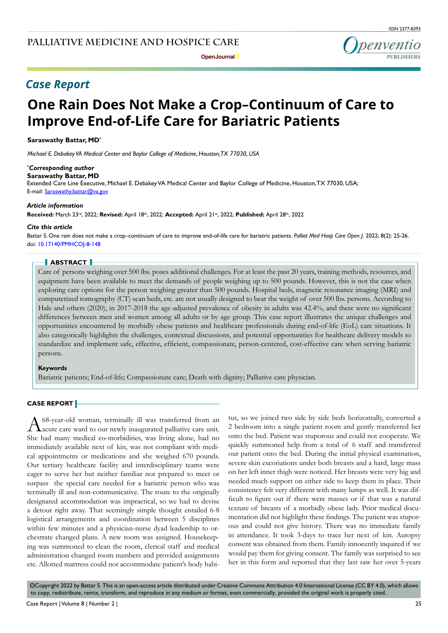*Case Report* 

# **One Rain Does Not Make a Crop–Continuum of Care to Improve End-of-Life Care for Bariatric Patients**

### **Saraswathy Battar, MD\***

*Michael E. Debakey VA Medical Center and Baylor College of Medicine, Houston, TX 77030, USA*

#### *\* Corresponding author*

**Saraswathy Battar, MD**

Extended Care Line Executive, Michael E. Debakey VA Medical Center and Baylor College of Medicine, Houston, TX 77030, USA; E-mail: Saraswathy.battar@va.gov

#### *Article information*

**Received:** March 23rd, 2022; **Revised:** April 18th, 2022; **Accepted:** April 21st, 2022; **Published:** April 28th, 2022

### *Cite this article*

Battar S. One rain does not make a crop–continuum of care to improve end-of-life care for bariatric patients. *Palliat Med Hosp Care Open J*. 2022; 8(2): 25-26. doi: [10.17140/PMHCOJ-8-148](http://dx.doi.org/10.17140/PMHCOJ-8-148)

### **ABSTRACT**

Care of persons weighing over 500 lbs. poses additional challenges. For at least the past 20 years, training methods, resources, and equipment have been available to meet the demands of people weighing up to 500 pounds. However, this is not the case when exploring care options for the person weighing greater than 500 pounds. Hospital beds, magnetic resonance imaging (MRI) and computerized tomography (CT) scan beds, etc. are not usually designed to bear the weight of over 500 lbs. persons. According to Hale and others (2020), in 2017-2018 the age-adjusted prevalence of obesity in adults was 42.4%, and there were no significant differences between men and women among all adults or by age group. This case report illustrates the unique challenges and opportunities encountered by morbidly obese patients and healthcare professionals during end-of-life (EoL) care situations. It also categorically highlights the challenges, contextual discussions, and potential opportunities for healthcare delivery models to standardize and implement safe, effective, efficient, compassionate, person-centered, cost-effective care when serving bariatric persons.

#### **Keywords**

Bariatric patients; End-of-life; Compassionate care; Death with dignity; Palliative care physician.

# **CASE REPORT**

A 68-year-old woman, terminally ill was transferred from an acute care ward to our newly inaugurated palliative care unit. She had many medical co-morbidities, was living alone, had no immediately available next of kin, was not compliant with medical appointments or medications and she weighed 670 pounds. Our tertiary healthcare facility and interdisciplinary teams were eager to serve her but neither familiar nor prepared to meet or surpass the special care needed for a bariatric person who was terminally ill and non-communicative. The route to the originally designated accommodation was impractical, so we had to devise a detour right away. That seemingly simple thought entailed 6-8 logistical arrangements and coordination between 5 disciplines within few minutes and a physician-nurse dyad leadership to orchestrate changed plans. A new room was assigned. Housekeeping was summoned to clean the room, clerical staff and medical administration changed room numbers and provided assignments etc. Allotted mattress could not accommodate patient's body habitus, so we joined two side by side beds horizontally, converted a 2 bedroom into a single patient room and gently transferred her onto the bed. Patient was stuporous and could not cooperate. We quickly summoned help from a total of 6 staff and transferred our patient onto the bed. During the initial physical examination, severe skin excoriations under both breasts and a hard, large mass on her left inner thigh were noticed. Her breasts were very big and needed much support on either side to keep them in place. Their consistency felt very different with many lumps as well. It was difficult to figure out if there were masses or if that was a natural texture of breasts of a morbidly obese lady. Prior medical documentation did not highlight these findings. The patient was stuporous and could not give history. There was no immediate family in attendance. It took 3-days to trace her next of kin. Autopsy consent was obtained from them. Family innocently inquired if we would pay them for giving consent. The family was surprised to see her in this form and reported that they last saw her over 5-years

 $\circledcirc$ Copyright 2022 by Battar S. This is an open-access article distributed under Creative Commons Attribution 4.0 International License ([CC BY 4.0\)](https://creativecommons.org/licenses/by/4.0/), which allows to copy, redistribute, remix, transform, and reproduce in any medium or format, even commercially, provided the original work is properly cited.